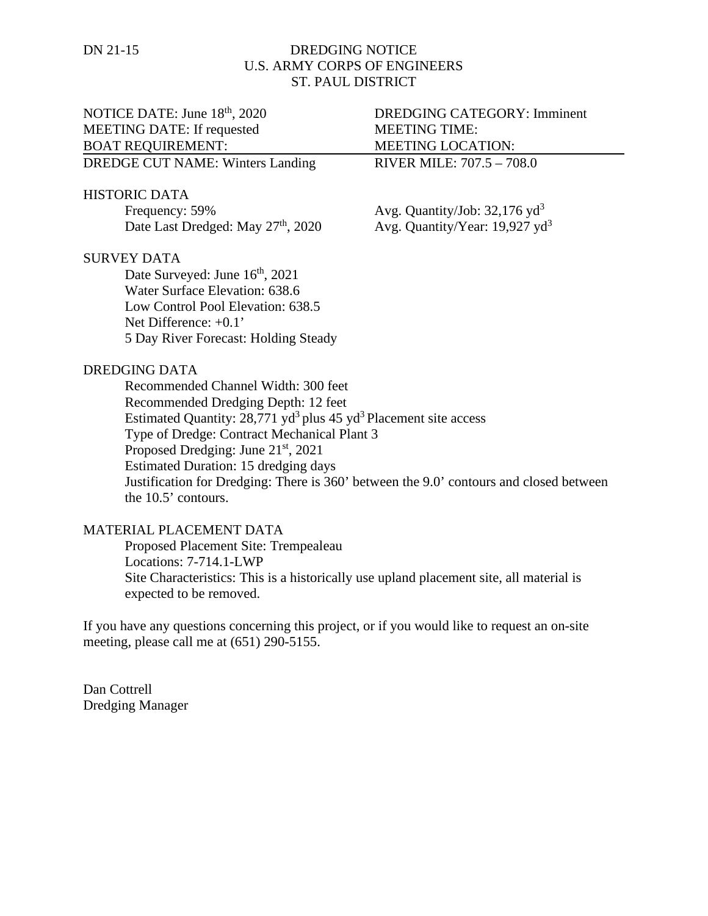## DN 21-15 DREDGING NOTICE U.S. ARMY CORPS OF ENGINEERS ST. PAUL DISTRICT

# NOTICE DATE: June 18<sup>th</sup>, 2020 DREDGING CATEGORY: Imminent MEETING DATE: If requested MEETING TIME: BOAT REQUIREMENT: MEETING LOCATION: DREDGE CUT NAME: Winters Landing RIVER MILE: 707.5 - 708.0 HISTORIC DATA Frequency: 59%  $\qquad \qquad \text{Avg. Quantity/Job: } 32,176 \text{ yd}^3$ Date Last Dredged: May 27<sup>th</sup>, 2020 Avg. Quantity/Year: 19,927 yd<sup>3</sup>

#### SURVEY DATA

Date Surveyed: June  $16^{th}$ , 2021 Water Surface Elevation: 638.6 Low Control Pool Elevation: 638.5 Net Difference: +0.1' 5 Day River Forecast: Holding Steady

#### DREDGING DATA

Recommended Channel Width: 300 feet Recommended Dredging Depth: 12 feet Estimated Quantity:  $28,771$  yd<sup>3</sup> plus 45 yd<sup>3</sup> Placement site access Type of Dredge: Contract Mechanical Plant 3 Proposed Dredging: June 21<sup>st</sup>, 2021 Estimated Duration: 15 dredging days Justification for Dredging: There is 360' between the 9.0' contours and closed between the 10.5' contours.

### MATERIAL PLACEMENT DATA

Proposed Placement Site: Trempealeau Locations: 7-714.1-LWP Site Characteristics: This is a historically use upland placement site, all material is expected to be removed.

If you have any questions concerning this project, or if you would like to request an on-site meeting, please call me at (651) 290-5155.

Dan Cottrell Dredging Manager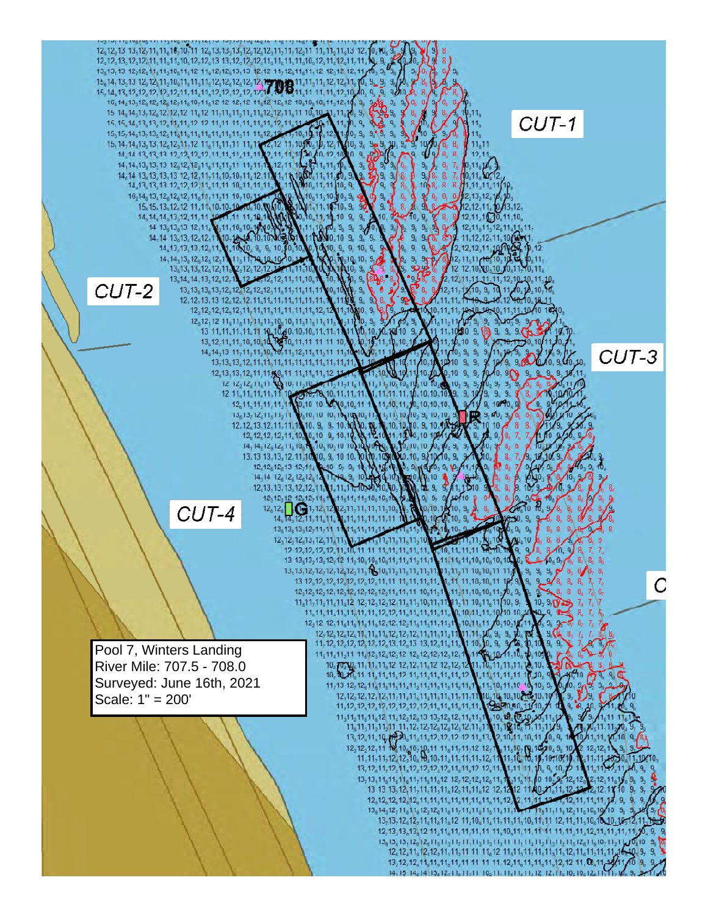